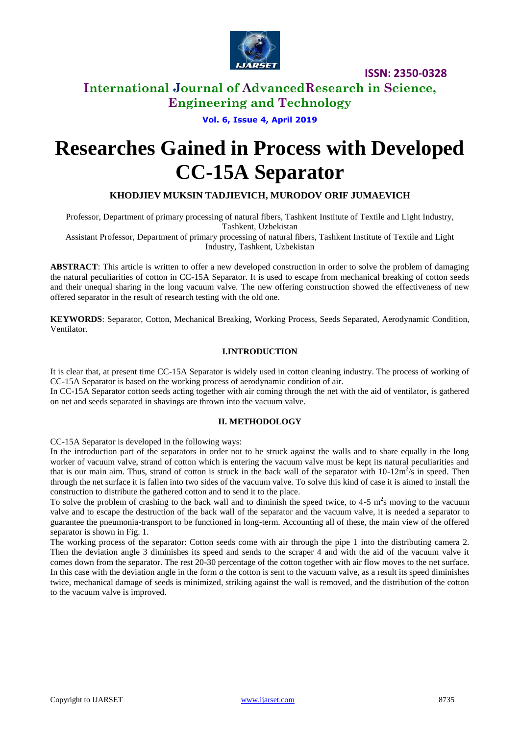

## **International Journal of AdvancedResearch in Science, Engineering and Technology**

## **Vol. 6, Issue 4, April 2019**

# **Researches Gained in Process with Developed CC-15A Separator**

#### **KHODJIEV MUKSIN TADJIEVICH, MURODOV ORIF JUMAEVICH**

Professor, Department of primary processing of natural fibers, Tashkent Institute of Textile and Light Industry, Tashkent, Uzbekistan

Assistant Professor, Department of primary processing of natural fibers, Tashkent Institute of Textile and Light Industry, Tashkent, Uzbekistan

**ABSTRACT**: This article is written to offer a new developed construction in order to solve the problem of damaging the natural peculiarities of cotton in CC-15A Separator. It is used to escape from mechanical breaking of cotton seeds and their unequal sharing in the long vacuum valve. The new offering construction showed the effectiveness of new offered separator in the result of research testing with the old one.

**KEYWORDS**: Separator, Cotton, Mechanical Breaking, Working Process, Seeds Separated, Aerodynamic Condition, Ventilator.

#### **I.INTRODUCTION**

It is clear that, at present time CC-15A Separator is widely used in cotton cleaning industry. The process of working of CC-15A Separator is based on the working process of aerodynamic condition of air.

In CC-15A Separator cotton seeds acting together with air coming through the net with the aid of ventilator, is gathered on net and seeds separated in shavings are thrown into the vacuum valve.

#### **II. METHODOLOGY**

CC-15A Separator is developed in the following ways:

In the introduction part of the separators in order not to be struck against the walls and to share equally in the long worker of vacuum valve, strand of cotton which is entering the vacuum valve must be kept its natural peculiarities and that is our main aim. Thus, strand of cotton is struck in the back wall of the separator with  $10-12m^2/s$  in speed. Then through the net surface it is fallen into two sides of the vacuum valve. To solve this kind of case it is aimed to install the construction to distribute the gathered cotton and to send it to the place.

To solve the problem of crashing to the back wall and to diminish the speed twice, to  $4-5$  m<sup>2</sup>s moving to the vacuum valve and to escape the destruction of the back wall of the separator and the vacuum valve, it is needed a separator to guarantee the pneumonia-transport to be functioned in long-term. Accounting all of these, the main view of the offered separator is shown in Fig. 1.

The working process of the separator: Cotton seeds come with air through the pipe 1 into the distributing camera 2. Then the deviation angle 3 diminishes its speed and sends to the scraper 4 and with the aid of the vacuum valve it comes down from the separator. The rest 20-30 percentage of the cotton together with air flow moves to the net surface. In this case with the deviation angle in the form *a* the cotton is sent to the vacuum valve, as a result its speed diminishes twice, mechanical damage of seeds is minimized, striking against the wall is removed, and the distribution of the cotton to the vacuum valve is improved.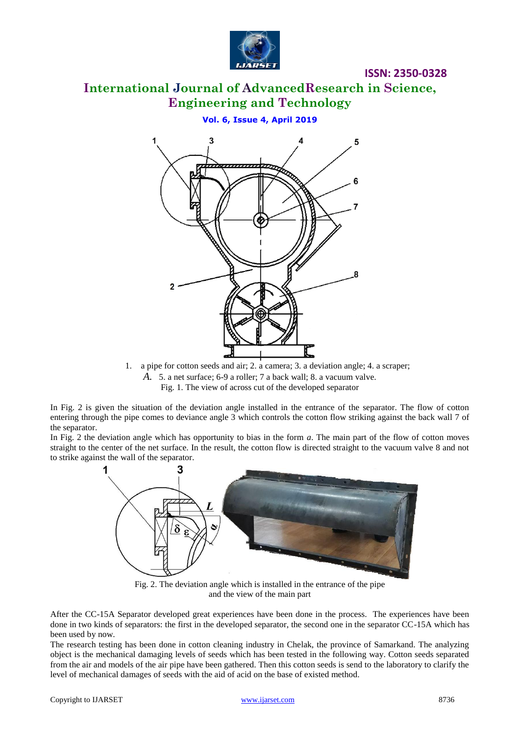

# **International Journal of AdvancedResearch in Science, Engineering and Technology**

#### **Vol. 6, Issue 4, April 2019**



1. a pipe for cotton seeds and air; 2. a camera; 3. a deviation angle; 4. a scraper; *A.* 5. a net surface; 6-9 a roller; 7 a back wall; 8. a vacuum valve. Fig. 1. The view of across cut of the developed separator

In Fig. 2 is given the situation of the deviation angle installed in the entrance of the separator. The flow of cotton entering through the pipe comes to deviance angle 3 which controls the cotton flow striking against the back wall 7 of the separator.

In Fig. 2 the deviation angle which has opportunity to bias in the form *a*. The main part of the flow of cotton moves straight to the center of the net surface. In the result, the cotton flow is directed straight to the vacuum valve 8 and not to strike against the wall of the separator.



Fig. 2. The deviation angle which is installed in the entrance of the pipe and the view of the main part

After the CC-15A Separator developed great experiences have been done in the process. The experiences have been done in two kinds of separators: the first in the developed separator, the second one in the separator CC-15A which has been used by now.

The research testing has been done in cotton cleaning industry in Chelak, the province of Samarkand. The analyzing object is the mechanical damaging levels of seeds which has been tested in the following way. Cotton seeds separated from the air and models of the air pipe have been gathered. Then this cotton seeds is send to the laboratory to clarify the level of mechanical damages of seeds with the aid of acid on the base of existed method.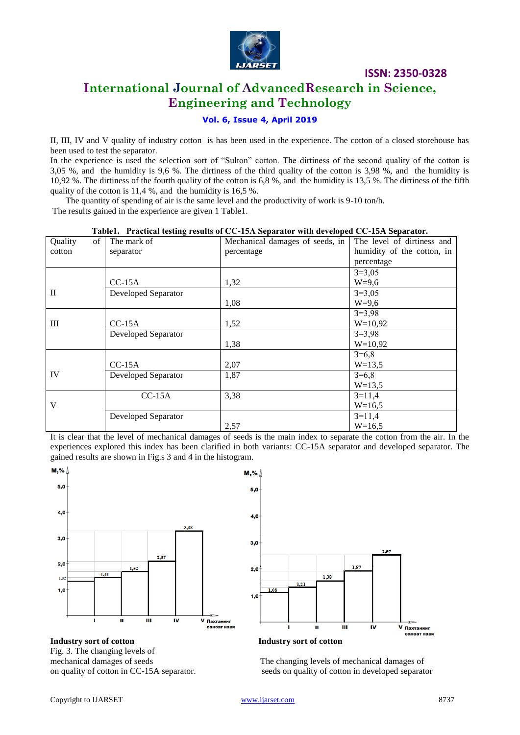

# **International Journal of AdvancedResearch in Science, Engineering and Technology**

#### **Vol. 6, Issue 4, April 2019**

II, III, IV and V quality of industry cotton is has been used in the experience. The cotton of a closed storehouse has been used to test the separator.

In the experience is used the selection sort of "Sulton" cotton. The dirtiness of the second quality of the cotton is 3,05 %, and the humidity is 9,6 %. The dirtiness of the third quality of the cotton is 3,98 %, and the humidity is 10,92 %. The dirtiness of the fourth quality of the cotton is 6,8 %, and the humidity is 13,5 %. The dirtiness of the fifth quality of the cotton is 11,4 %, and the humidity is 16,5 %.

 The quantity of spending of air is the same level and the productivity of work is 9-10 ton/h. The results gained in the experience are given 1 Table1.

| of<br>Quality | The mark of         | rabiere e raecueau cosing results or c'o reix separator with aevelopea c'o xerx separatori<br>Mechanical damages of seeds, in | The level of dirtiness and |
|---------------|---------------------|-------------------------------------------------------------------------------------------------------------------------------|----------------------------|
| cotton        | separator           | percentage                                                                                                                    | humidity of the cotton, in |
|               |                     |                                                                                                                               | percentage                 |
|               |                     |                                                                                                                               | $3=3,05$                   |
|               | $CC-15A$            | 1,32                                                                                                                          | $W=9,6$                    |
| $\mathbf{I}$  | Developed Separator |                                                                                                                               | $3=3,05$                   |
|               |                     | 1,08                                                                                                                          | $W=9,6$                    |
|               |                     |                                                                                                                               | $3=3,98$                   |
| Ш             | $CC-15A$            | 1,52                                                                                                                          | $W=10.92$                  |
|               | Developed Separator |                                                                                                                               | $3=3,98$                   |
|               |                     | 1,38                                                                                                                          | $W=10,92$                  |
|               |                     |                                                                                                                               | $3=6,8$                    |
|               | $CC-15A$            | 2,07                                                                                                                          | $W=13,5$                   |
| IV            | Developed Separator | 1,87                                                                                                                          | $3=6,8$                    |
|               |                     |                                                                                                                               | $W=13,5$                   |
|               | $CC-15A$            | 3,38                                                                                                                          | $3=11,4$                   |
| V             |                     |                                                                                                                               | $W=16,5$                   |
|               | Developed Separator |                                                                                                                               | $3=11,4$                   |
|               |                     | 2,57                                                                                                                          | $W=16,5$                   |

#### **Table1. Practical testing results of СС-15А Separator with developed CC-15A Separator.**

It is clear that the level of mechanical damages of seeds is the main index to separate the cotton from the air. In the experiences explored this index has been clarified in both variants: CC-15A separator and developed separator. The gained results are shown in Fig.s 3 and 4 in the histogram.



**Industry sort of cotton Industry sort of cotton** Fig. 3. The changing levels of





mechanical damages of seeds The changing levels of mechanical damages of on quality of cotton in CC-15A separator. seeds on quality of cotton in developed separator